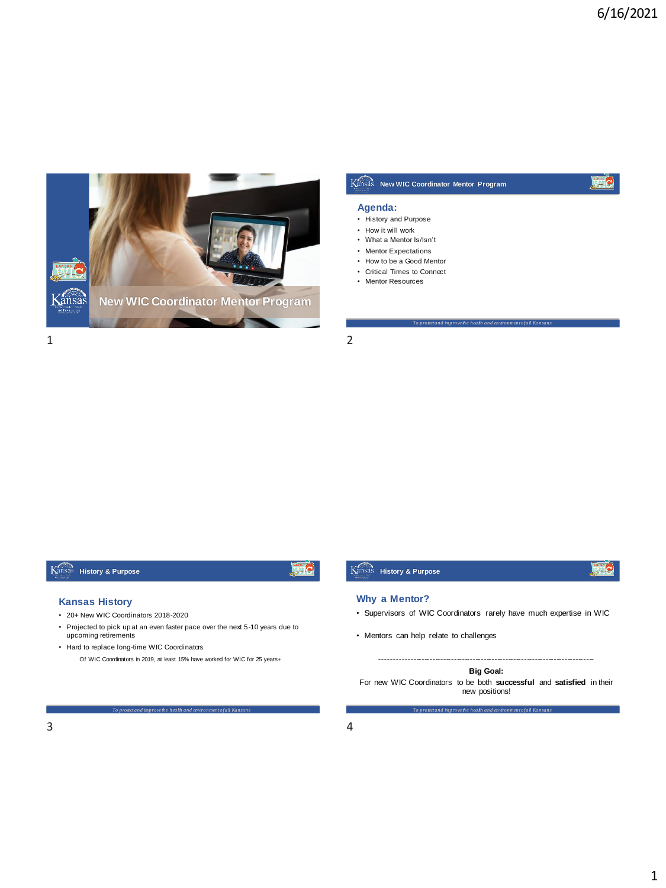

# **New WIC Coordinator Mentor Program**

## Le

## **Agenda:**

- History and Purpose
- How it will work
- What a Mentor Is/Isn't
- Mentor Expectations
- How to be a Good Mentor
- Critical Times to Connect
- Mentor Resources

## **History & Purpose**

# 麻

## **Kansas History**

- 20+ New WIC Coordinators 2018-2020
- Projected to pick up at an even faster pace over the next 5-10 years due to upcoming retirements
- Hard to replace long-time WIC Coordinators

Of WIC Coordinators in 2019, at least 15% have worked for WIC for 25 years+

### *To protect and improve the health and environment of all Kansans*

## **Why a Mentor?**

**History & Purpose**

• Supervisors of WIC Coordinators rarely have much expertise in WIC

*To protect and improve the health and environment of all Kansans*

• Mentors can help relate to challenges

## -------------------------------------------------------------------------------

**Big Goal:** 

For new WIC Coordinators to be both **successful** and **satisfied** in their new positions!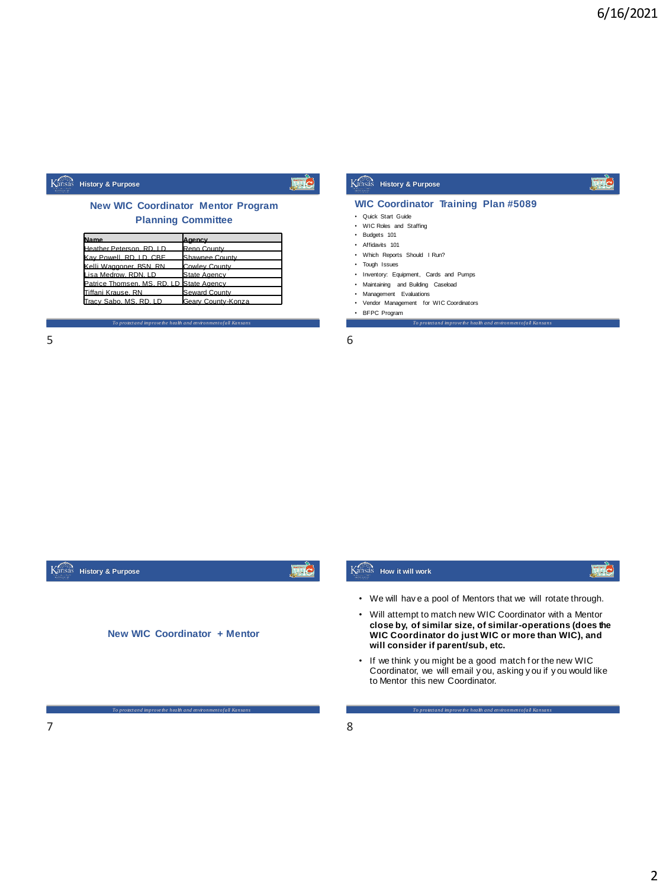#### Kansas **History & Purpose**

## **New WIC Coordinator Mentor Program Planning Committee**

| <b>Name</b>                              | lAgency            |
|------------------------------------------|--------------------|
| Heather Peterson, RD, LD                 | Reno County        |
| Kav Powell, RD, LD, CBE                  | Shawnee County     |
| Kelli Waggoner, BSN, RN                  | Cowley County      |
| Lisa Medrow, RDN, LD                     | State Agency       |
| Patrice Thomsen, MS, RD, LD State Agency |                    |
| Tiffani Krause, RN                       | Seward County      |
| Tracy Sabo, MS, RD, LD                   | Geary County-Konza |

*To protect and improve the health and environment of all Kansans*

| $\overline{\phantom{0}}$ | $\overline{\phantom{0}}$ |
|--------------------------|--------------------------|
| Е                        | ь                        |
| ٮ                        | ັ                        |
|                          |                          |



*To protect and improve the health and environment of all Kansans*

**WIC Coordinator Training Plan #5089**

• Quick Start Guide • WIC Roles and Staffing • Budgets 101 • Affidavits 101

• BFPC Program

• Which Reports Should I Run? • Tough Issues

**History & Purpose**

• Inventory: Equipment, Cards and Pumps • Maintaining and Building Caseload • Management Evaluations • Vendor Management for WIC Coordinators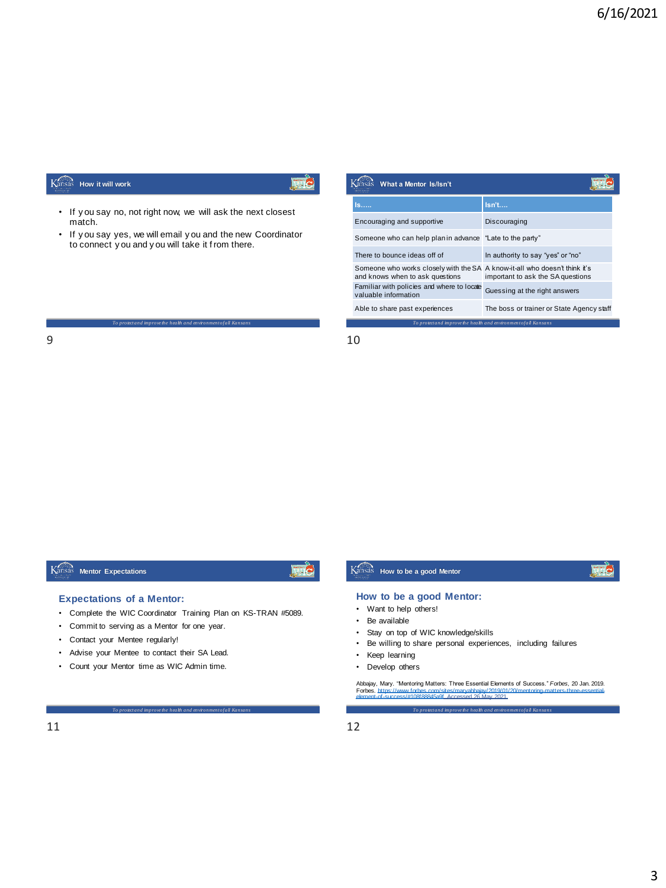#### Kansas **How it will work**

- If y ou say no, not right now, we will ask the next closest match.
- If y ou say yes, we will email y ou and the new Coordinator to connect y ou and y ou will take it f rom there.

*To protect and improve the health and environment of all Kansans*

| What a Mentor Is/Isn't                                                                                        |                                           |
|---------------------------------------------------------------------------------------------------------------|-------------------------------------------|
| ls……                                                                                                          | lsn't                                     |
| Encouraging and supportive                                                                                    | Discouraging                              |
| Someone who can help plan in advance "Late to the party"                                                      |                                           |
| There to bounce ideas off of                                                                                  | In authority to say "yes" or "no"         |
| Someone who works closely with the SA A know-it-all who doesn't think it's<br>and knows when to ask questions | important to ask the SA questions         |
| Familiar with policies and where to locate<br>valuable information                                            | Guessing at the right answers             |
| Able to share past experiences                                                                                | The boss or trainer or State Agency staff |

*To protect and improve the health and environment of all Kansans*

9 10

## **Mentor Expectations**

# Fig

## **Expectations of a Mentor:**

- Complete the WIC Coordinator Training Plan on KS-TRAN #5089.
- Commit to serving as a Mentor for one year.
- Contact your Mentee regularly!
- Advise your Mentee to contact their SA Lead.
- Count your Mentor time as WIC Admin time.

## *To protect and improve the health and environment of all Kansans*

**File** 

### **How to be a good Mentor:**

**How to be a good Mentor**

- Want to help others!
- Be available
- Stay on top of WIC knowledge/skills
- Be willing to share personal experiences, including failures
- Keep learning
- Develop others

*To protect and improve the health and environment of all Kansans* Abbajay, Mary. "Mentoring Matters: Three Essential Elements of Success." *Forbes,* 20 Jan. 2019.<br>Forbes. https://www.forbes.com/sites/manyabbajay/2019/01/20/mentoring-matters-three-essential-<br>element-of-success/#108f88845a